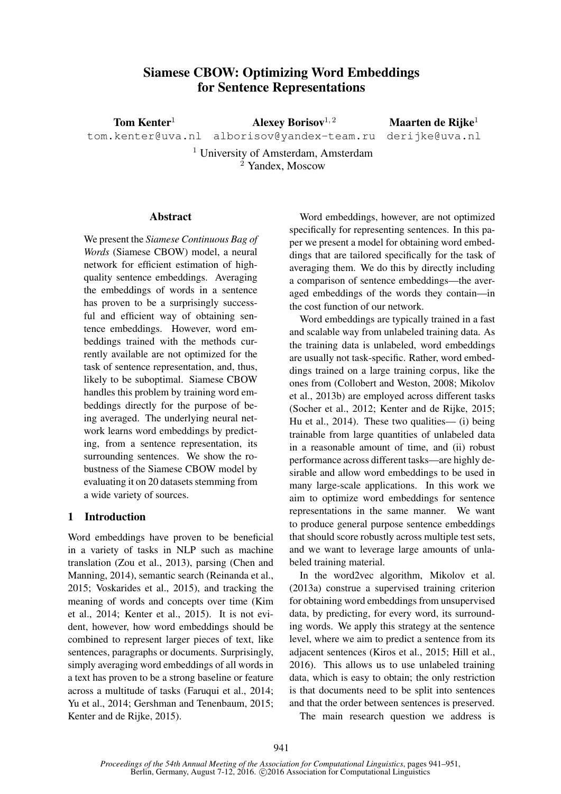# Siamese CBOW: Optimizing Word Embeddings for Sentence Representations

Tom Kenter<sup>1</sup> Alexey Borisov<sup>1, 2</sup> Maarten de Rijke<sup>1</sup>

tom.kenter@uva.nl alborisov@yandex-team.ru derijke@uva.nl

<sup>1</sup> University of Amsterdam, Amsterdam <sup>2</sup> Yandex, Moscow

#### Abstract

We present the *Siamese Continuous Bag of Words* (Siamese CBOW) model, a neural network for efficient estimation of highquality sentence embeddings. Averaging the embeddings of words in a sentence has proven to be a surprisingly successful and efficient way of obtaining sentence embeddings. However, word embeddings trained with the methods currently available are not optimized for the task of sentence representation, and, thus, likely to be suboptimal. Siamese CBOW handles this problem by training word embeddings directly for the purpose of being averaged. The underlying neural network learns word embeddings by predicting, from a sentence representation, its surrounding sentences. We show the robustness of the Siamese CBOW model by evaluating it on 20 datasets stemming from a wide variety of sources.

## 1 Introduction

Word embeddings have proven to be beneficial in a variety of tasks in NLP such as machine translation (Zou et al., 2013), parsing (Chen and Manning, 2014), semantic search (Reinanda et al., 2015; Voskarides et al., 2015), and tracking the meaning of words and concepts over time (Kim et al., 2014; Kenter et al., 2015). It is not evident, however, how word embeddings should be combined to represent larger pieces of text, like sentences, paragraphs or documents. Surprisingly, simply averaging word embeddings of all words in a text has proven to be a strong baseline or feature across a multitude of tasks (Faruqui et al., 2014; Yu et al., 2014; Gershman and Tenenbaum, 2015; Kenter and de Rijke, 2015).

Word embeddings, however, are not optimized specifically for representing sentences. In this paper we present a model for obtaining word embeddings that are tailored specifically for the task of averaging them. We do this by directly including a comparison of sentence embeddings—the averaged embeddings of the words they contain—in the cost function of our network.

Word embeddings are typically trained in a fast and scalable way from unlabeled training data. As the training data is unlabeled, word embeddings are usually not task-specific. Rather, word embeddings trained on a large training corpus, like the ones from (Collobert and Weston, 2008; Mikolov et al., 2013b) are employed across different tasks (Socher et al., 2012; Kenter and de Rijke, 2015; Hu et al., 2014). These two qualities— (i) being trainable from large quantities of unlabeled data in a reasonable amount of time, and (ii) robust performance across different tasks—are highly desirable and allow word embeddings to be used in many large-scale applications. In this work we aim to optimize word embeddings for sentence representations in the same manner. We want to produce general purpose sentence embeddings that should score robustly across multiple test sets, and we want to leverage large amounts of unlabeled training material.

In the word2vec algorithm, Mikolov et al. (2013a) construe a supervised training criterion for obtaining word embeddings from unsupervised data, by predicting, for every word, its surrounding words. We apply this strategy at the sentence level, where we aim to predict a sentence from its adjacent sentences (Kiros et al., 2015; Hill et al., 2016). This allows us to use unlabeled training data, which is easy to obtain; the only restriction is that documents need to be split into sentences and that the order between sentences is preserved.

The main research question we address is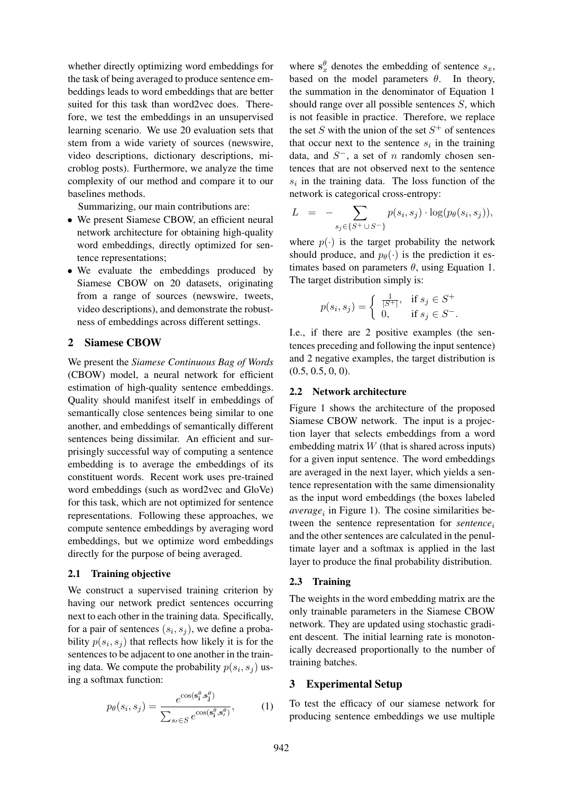whether directly optimizing word embeddings for the task of being averaged to produce sentence embeddings leads to word embeddings that are better suited for this task than word2vec does. Therefore, we test the embeddings in an unsupervised learning scenario. We use 20 evaluation sets that stem from a wide variety of sources (newswire, video descriptions, dictionary descriptions, microblog posts). Furthermore, we analyze the time complexity of our method and compare it to our baselines methods.

Summarizing, our main contributions are:

- We present Siamese CBOW, an efficient neural network architecture for obtaining high-quality word embeddings, directly optimized for sentence representations;
- We evaluate the embeddings produced by Siamese CBOW on 20 datasets, originating from a range of sources (newswire, tweets, video descriptions), and demonstrate the robustness of embeddings across different settings.

#### 2 Siamese CBOW

We present the *Siamese Continuous Bag of Words* (CBOW) model, a neural network for efficient estimation of high-quality sentence embeddings. Quality should manifest itself in embeddings of semantically close sentences being similar to one another, and embeddings of semantically different sentences being dissimilar. An efficient and surprisingly successful way of computing a sentence embedding is to average the embeddings of its constituent words. Recent work uses pre-trained word embeddings (such as word2vec and GloVe) for this task, which are not optimized for sentence representations. Following these approaches, we compute sentence embeddings by averaging word embeddings, but we optimize word embeddings directly for the purpose of being averaged.

#### 2.1 Training objective

We construct a supervised training criterion by having our network predict sentences occurring next to each other in the training data. Specifically, for a pair of sentences  $(s_i, s_j)$ , we define a probability  $p(s_i, s_j)$  that reflects how likely it is for the sentences to be adjacent to one another in the training data. We compute the probability  $p(s_i, s_j)$  using a softmax function:

$$
p_{\theta}(s_i, s_j) = \frac{e^{\cos(\mathbf{s}_i^{\theta}, \mathbf{s}_j^{\theta})}}{\sum_{s_i \in S} e^{\cos(\mathbf{s}_i^{\theta}, \mathbf{s}_i^{\theta})}},
$$
(1)

where  $s_x^{\theta}$  denotes the embedding of sentence  $s_x$ , based on the model parameters  $\theta$ . In theory, the summation in the denominator of Equation 1 should range over all possible sentences S, which is not feasible in practice. Therefore, we replace the set S with the union of the set  $S^+$  of sentences that occur next to the sentence  $s_i$  in the training data, and  $S^-$ , a set of n randomly chosen sentences that are not observed next to the sentence  $s_i$  in the training data. The loss function of the network is categorical cross-entropy:

$$
L = - \sum_{s_j \in \{S^+ \cup S^- \}} p(s_i, s_j) \cdot \log(p_\theta(s_i, s_j)),
$$

where  $p(\cdot)$  is the target probability the network should produce, and  $p_{\theta}(\cdot)$  is the prediction it estimates based on parameters  $\theta$ , using Equation 1. The target distribution simply is:

$$
p(s_i, s_j) = \begin{cases} \frac{1}{|S^+|}, & \text{if } s_j \in S^+ \\ 0, & \text{if } s_j \in S^- . \end{cases}
$$

I.e., if there are 2 positive examples (the sentences preceding and following the input sentence) and 2 negative examples, the target distribution is  $(0.5, 0.5, 0, 0).$ 

### 2.2 Network architecture

Figure 1 shows the architecture of the proposed Siamese CBOW network. The input is a projection layer that selects embeddings from a word embedding matrix  $W$  (that is shared across inputs) for a given input sentence. The word embeddings are averaged in the next layer, which yields a sentence representation with the same dimensionality as the input word embeddings (the boxes labeled  $average_i$  in Figure 1). The cosine similarities between the sentence representation for *sentence* and the other sentences are calculated in the penultimate layer and a softmax is applied in the last layer to produce the final probability distribution.

#### 2.3 Training

The weights in the word embedding matrix are the only trainable parameters in the Siamese CBOW network. They are updated using stochastic gradient descent. The initial learning rate is monotonically decreased proportionally to the number of training batches.

#### 3 Experimental Setup

To test the efficacy of our siamese network for producing sentence embeddings we use multiple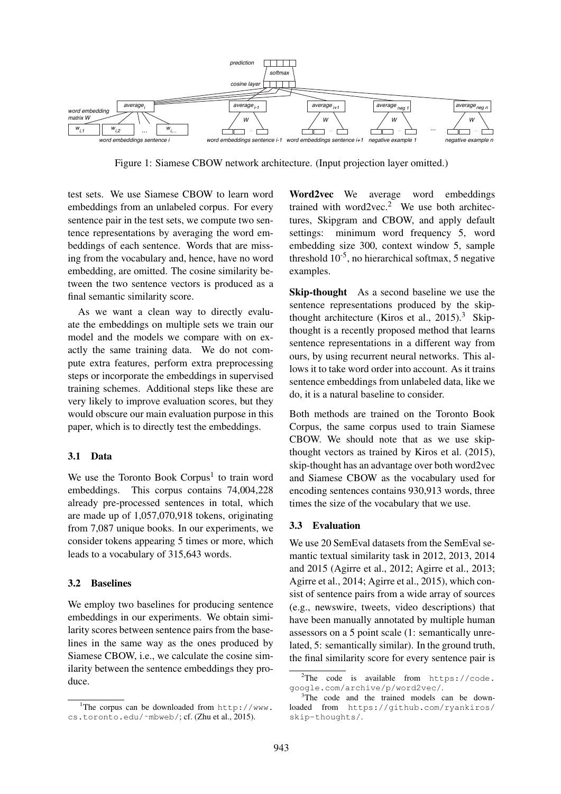

Figure 1: Siamese CBOW network architecture. (Input projection layer omitted.)

test sets. We use Siamese CBOW to learn word embeddings from an unlabeled corpus. For every sentence pair in the test sets, we compute two sentence representations by averaging the word embeddings of each sentence. Words that are missing from the vocabulary and, hence, have no word embedding, are omitted. The cosine similarity between the two sentence vectors is produced as a final semantic similarity score.

As we want a clean way to directly evaluate the embeddings on multiple sets we train our model and the models we compare with on exactly the same training data. We do not compute extra features, perform extra preprocessing steps or incorporate the embeddings in supervised training schemes. Additional steps like these are very likely to improve evaluation scores, but they would obscure our main evaluation purpose in this paper, which is to directly test the embeddings.

#### 3.1 Data

We use the Toronto Book Corpus<sup>1</sup> to train word embeddings. This corpus contains 74,004,228 already pre-processed sentences in total, which are made up of 1,057,070,918 tokens, originating from 7,087 unique books. In our experiments, we consider tokens appearing 5 times or more, which leads to a vocabulary of 315,643 words.

#### 3.2 Baselines

We employ two baselines for producing sentence embeddings in our experiments. We obtain similarity scores between sentence pairs from the baselines in the same way as the ones produced by Siamese CBOW, i.e., we calculate the cosine similarity between the sentence embeddings they produce.

Word2vec We average word embeddings trained with word2vec.<sup>2</sup> We use both architectures, Skipgram and CBOW, and apply default settings: minimum word frequency 5, word embedding size 300, context window 5, sample threshold  $10^{-5}$ , no hierarchical softmax, 5 negative examples.

Skip-thought As a second baseline we use the sentence representations produced by the skipthought architecture (Kiros et al., 2015).<sup>3</sup> Skipthought is a recently proposed method that learns sentence representations in a different way from ours, by using recurrent neural networks. This allows it to take word order into account. As it trains sentence embeddings from unlabeled data, like we do, it is a natural baseline to consider.

Both methods are trained on the Toronto Book Corpus, the same corpus used to train Siamese CBOW. We should note that as we use skipthought vectors as trained by Kiros et al. (2015), skip-thought has an advantage over both word2vec and Siamese CBOW as the vocabulary used for encoding sentences contains 930,913 words, three times the size of the vocabulary that we use.

#### 3.3 Evaluation

We use 20 SemEval datasets from the SemEval semantic textual similarity task in 2012, 2013, 2014 and 2015 (Agirre et al., 2012; Agirre et al., 2013; Agirre et al., 2014; Agirre et al., 2015), which consist of sentence pairs from a wide array of sources (e.g., newswire, tweets, video descriptions) that have been manually annotated by multiple human assessors on a 5 point scale (1: semantically unrelated, 5: semantically similar). In the ground truth, the final similarity score for every sentence pair is

<sup>&</sup>lt;sup>1</sup>The corpus can be downloaded from  $http://www.$ cs.toronto.edu/˜mbweb/; cf. (Zhu et al., 2015).

 $2$ The code is available from https://code. google.com/archive/p/word2vec/.

<sup>&</sup>lt;sup>3</sup>The code and the trained models can be downloaded from https://github.com/ryankiros/ skip-thoughts/.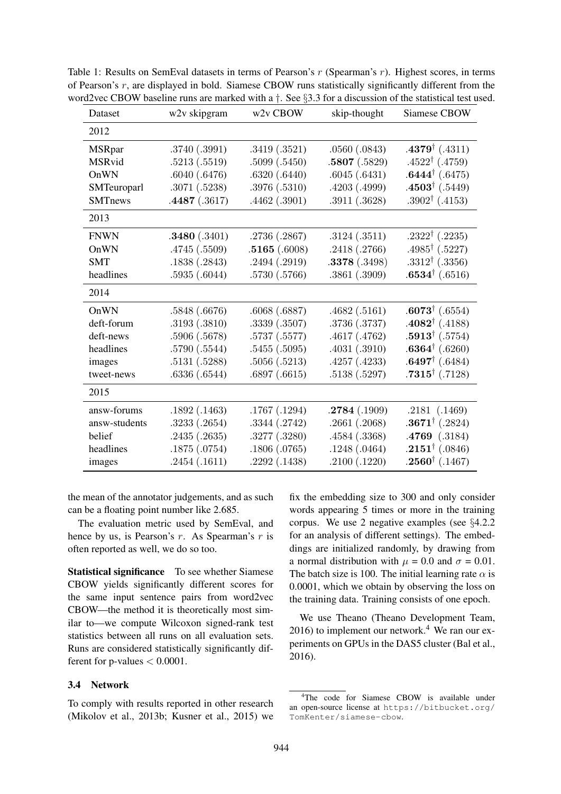| Dataset        | w2v skipgram  | w <sub>2v</sub> CBOW | skip-thought  | Siamese CBOW              |
|----------------|---------------|----------------------|---------------|---------------------------|
| 2012           |               |                      |               |                           |
| <b>MSRpar</b>  | .3740 (.3991) | .3419(.3521)         | .0560(.0843)  | $.4379^{\dagger}$ (.4311) |
| MSRvid         | .5213(.5519)  | .5099(.5450)         | .5807(.5829)  | $.4522^{\dagger}$ (.4759) |
| OnWN           | .6040(.6476)  | .6320(.6440)         | .6045(.6431)  | $.6444^{\dagger}$ (.6475) |
| SMTeuroparl    | .3071(.5238)  | .3976 (.5310)        | .4203(.4999)  | $.4503^{\dagger}$ (.5449) |
| <b>SMTnews</b> | .4487(.3617)  | .4462(.3901)         | .3911 (.3628) | $.3902^{\dagger}$ (.4153) |
| 2013           |               |                      |               |                           |
| <b>FNWN</b>    | .3480(.3401)  | .2736 (.2867)        | .3124(.3511)  | $.2322^{\dagger}$ (.2235) |
| OnWN           | .4745 (.5509) | .5165(.6008)         | .2418(.2766)  | $.4985^{\dagger}$ (.5227) |
| <b>SMT</b>     | .1838(.2843)  | .2494(.2919)         | .3378(.3498)  | $.3312^{\dagger}$ (.3356) |
| headlines      | .5935(.6044)  | .5730 (.5766)        | .3861(.3909)  | $.6534^{\dagger}$ (.6516) |
| 2014           |               |                      |               |                           |
| OnWN           | .5848 (.6676) | .6068(.6887)         | .4682(.5161)  | $.6073^{\dagger}$ (.6554) |
| deft-forum     | .3193(.3810)  | .3339(.3507)         | .3736 (.3737) | $.4082^{\dagger}$ (.4188) |
| deft-news      | .5906 (.5678) | .5737 (.5577)        | .4617(.4762)  | $.5913^{\dagger}$ (.5754) |
| headlines      | .5790 (.5544) | .5455(.5095)         | .4031(.3910)  | $.6364^{\dagger}$ (.6260) |
| images         | .5131(.5288)  | .5056(.5213)         | .4257(.4233)  | $.6497^{\dagger}$ (.6484) |
| tweet-news     | .6336(.6544)  | .6897(.6615)         | .5138(.5297)  | $.7315^{\dagger}$ (.7128) |
| 2015           |               |                      |               |                           |
| answ-forums    | .1892(.1463)  | .1767(.1294)         | .2784(.1909)  | .2181( .1469)             |
| answ-students  | .3233(.2654)  | .3344(.2742)         | .2661(.2068)  | $.3671^{\dagger}$ (.2824) |
| belief         | .2435(.2635)  | .3277 (.3280)        | .4584 (.3368) | $.4769$ $(.3184)$         |
| headlines      | .1875 (.0754) | .1806(.0765)         | .1248(.0464)  | $.2151^{\dagger}(.0846)$  |
| images         | .2454(.1611)  | .2292(.1438)         | .2100(.1220)  | $.2560^{\dagger}$ (.1467) |

Table 1: Results on SemEval datasets in terms of Pearson's r (Spearman's r). Highest scores, in terms of Pearson's r, are displayed in bold. Siamese CBOW runs statistically significantly different from the word2vec CBOW baseline runs are marked with a  $\dagger$ . See §3.3 for a discussion of the statistical test used.

the mean of the annotator judgements, and as such can be a floating point number like 2.685.

The evaluation metric used by SemEval, and hence by us, is Pearson's  $r$ . As Spearman's  $r$  is often reported as well, we do so too.

Statistical significance To see whether Siamese CBOW yields significantly different scores for the same input sentence pairs from word2vec CBOW—the method it is theoretically most similar to—we compute Wilcoxon signed-rank test statistics between all runs on all evaluation sets. Runs are considered statistically significantly different for p-values  $< 0.0001$ .

#### 3.4 Network

To comply with results reported in other research (Mikolov et al., 2013b; Kusner et al., 2015) we

fix the embedding size to 300 and only consider words appearing 5 times or more in the training corpus. We use 2 negative examples (see §4.2.2 for an analysis of different settings). The embeddings are initialized randomly, by drawing from a normal distribution with  $\mu = 0.0$  and  $\sigma = 0.01$ . The batch size is 100. The initial learning rate  $\alpha$  is 0.0001, which we obtain by observing the loss on the training data. Training consists of one epoch.

We use Theano (Theano Development Team,  $2016$ ) to implement our network.<sup>4</sup> We ran our experiments on GPUs in the DAS5 cluster (Bal et al., 2016).

<sup>&</sup>lt;sup>4</sup>The code for Siamese CBOW is available under an open-source license at https://bitbucket.org/ TomKenter/siamese-cbow.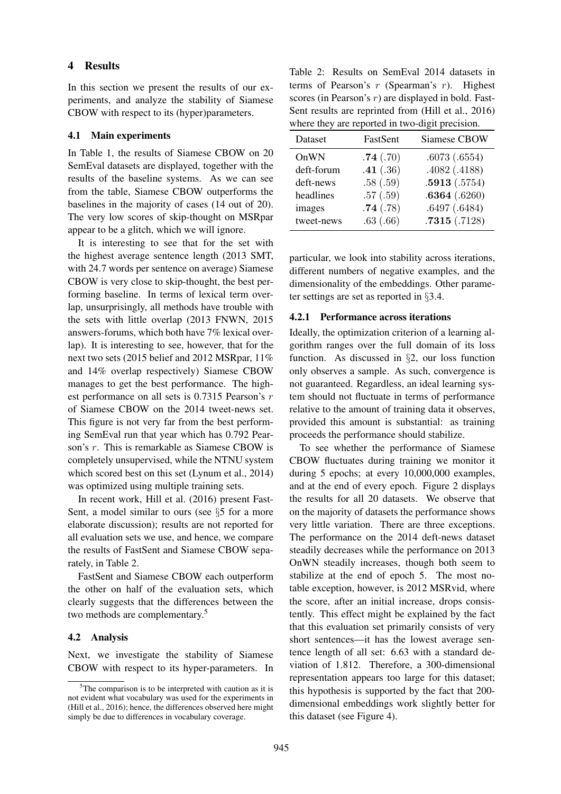#### 4 Results

In this section we present the results of our experiments, and analyze the stability of Siamese CBOW with respect to its (hyper)parameters.

#### 4.1 Main experiments

In Table 1, the results of Siamese CBOW on 20 SemEval datasets are displayed, together with the results of the baseline systems. As we can see from the table, Siamese CBOW outperforms the baselines in the majority of cases (14 out of 20). The very low scores of skip-thought on MSRpar appear to be a glitch, which we will ignore.

It is interesting to see that for the set with the highest average sentence length (2013 SMT, with 24.7 words per sentence on average) Siamese CBOW is very close to skip-thought, the best performing baseline. In terms of lexical term overlap, unsurprisingly, all methods have trouble with the sets with little overlap (2013 FNWN, 2015 answers-forums, which both have 7% lexical overlap). It is interesting to see, however, that for the next two sets (2015 belief and 2012 MSRpar, 11% and 14% overlap respectively) Siamese CBOW manages to get the best performance. The highest performance on all sets is 0.7315 Pearson's r of Siamese CBOW on the 2014 tweet-news set. This figure is not very far from the best performing SemEval run that year which has 0.792 Pearson's r. This is remarkable as Siamese CBOW is completely unsupervised, while the NTNU system which scored best on this set (Lynum et al., 2014) was optimized using multiple training sets.

In recent work, Hill et al. (2016) present Fast-Sent, a model similar to ours (see §5 for a more elaborate discussion); results are not reported for all evaluation sets we use, and hence, we compare the results of FastSent and Siamese CBOW separately, in Table 2.

FastSent and Siamese CBOW each outperform the other on half of the evaluation sets, which clearly suggests that the differences between the two methods are complementary.<sup>5</sup>

#### 4.2 Analysis

Next, we investigate the stability of Siamese CBOW with respect to its hyper-parameters. In

Table 2: Results on SemEval 2014 datasets in terms of Pearson's  $r$  (Spearman's  $r$ ). Highest scores (in Pearson's  $r$ ) are displayed in bold. Fast-Sent results are reprinted from (Hill et al., 2016) where they are reported in two-digit precision.

| Dataset    | FastSent | Siamese CBOW |
|------------|----------|--------------|
| OnWN       | .74(.70) | .6073(.6554) |
| deft-forum | .41(.36) | .4082(.4188) |
| deft-news  | .58(.59) | .5913(.5754) |
| headlines  | .57(.59) | .6364(.6260) |
| images     | .74(.78) | .6497(.6484) |
| tweet-news | .63(.66) | .7315(.7128) |

particular, we look into stability across iterations, different numbers of negative examples, and the dimensionality of the embeddings. Other parameter settings are set as reported in §3.4.

#### 4.2.1 Performance across iterations

Ideally, the optimization criterion of a learning algorithm ranges over the full domain of its loss function. As discussed in §2, our loss function only observes a sample. As such, convergence is not guaranteed. Regardless, an ideal learning system should not fluctuate in terms of performance relative to the amount of training data it observes, provided this amount is substantial: as training proceeds the performance should stabilize.

To see whether the performance of Siamese CBOW fluctuates during training we monitor it during 5 epochs; at every 10,000,000 examples, and at the end of every epoch. Figure 2 displays the results for all 20 datasets. We observe that on the majority of datasets the performance shows very little variation. There are three exceptions. The performance on the 2014 deft-news dataset steadily decreases while the performance on 2013 OnWN steadily increases, though both seem to stabilize at the end of epoch 5. The most notable exception, however, is 2012 MSRvid, where the score, after an initial increase, drops consistently. This effect might be explained by the fact that this evaluation set primarily consists of very short sentences—it has the lowest average sentence length of all set: 6.63 with a standard deviation of 1.812. Therefore, a 300-dimensional representation appears too large for this dataset; this hypothesis is supported by the fact that 200 dimensional embeddings work slightly better for this dataset (see Figure 4).

 $5$ The comparison is to be interpreted with caution as it is not evident what vocabulary was used for the experiments in (Hill et al., 2016); hence, the differences observed here might simply be due to differences in vocabulary coverage.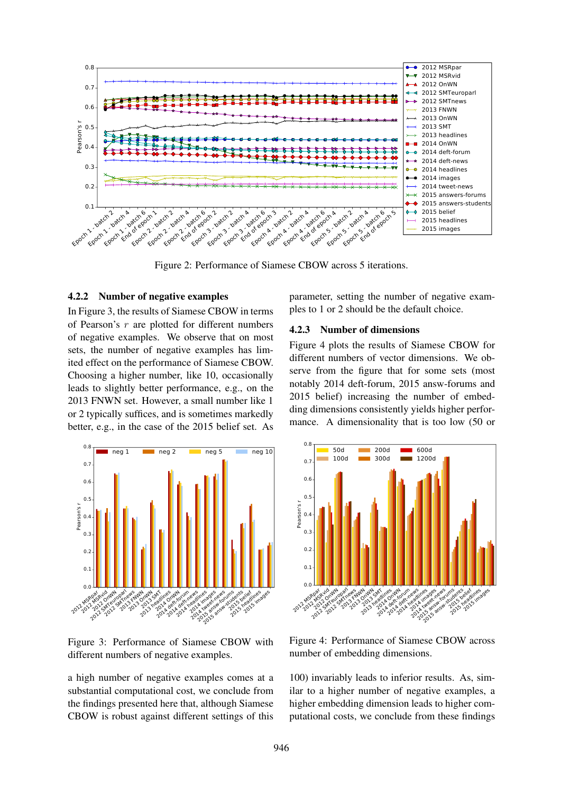

Figure 2: Performance of Siamese CBOW across 5 iterations.

#### 4.2.2 Number of negative examples

In Figure 3, the results of Siamese CBOW in terms of Pearson's  $r$  are plotted for different numbers of negative examples. We observe that on most sets, the number of negative examples has limited effect on the performance of Siamese CBOW. Choosing a higher number, like 10, occasionally leads to slightly better performance, e.g., on the 2013 FNWN set. However, a small number like 1 or 2 typically suffices, and is sometimes markedly better, e.g., in the case of the 2015 belief set. As



Figure 3: Performance of Siamese CBOW with different numbers of negative examples.

a high number of negative examples comes at a substantial computational cost, we conclude from the findings presented here that, although Siamese CBOW is robust against different settings of this parameter, setting the number of negative examples to 1 or 2 should be the default choice.

#### 4.2.3 Number of dimensions

Figure 4 plots the results of Siamese CBOW for different numbers of vector dimensions. We observe from the figure that for some sets (most notably 2014 deft-forum, 2015 answ-forums and 2015 belief) increasing the number of embedding dimensions consistently yields higher performance. A dimensionality that is too low (50 or



Figure 4: Performance of Siamese CBOW across number of embedding dimensions.

100) invariably leads to inferior results. As, similar to a higher number of negative examples, a higher embedding dimension leads to higher computational costs, we conclude from these findings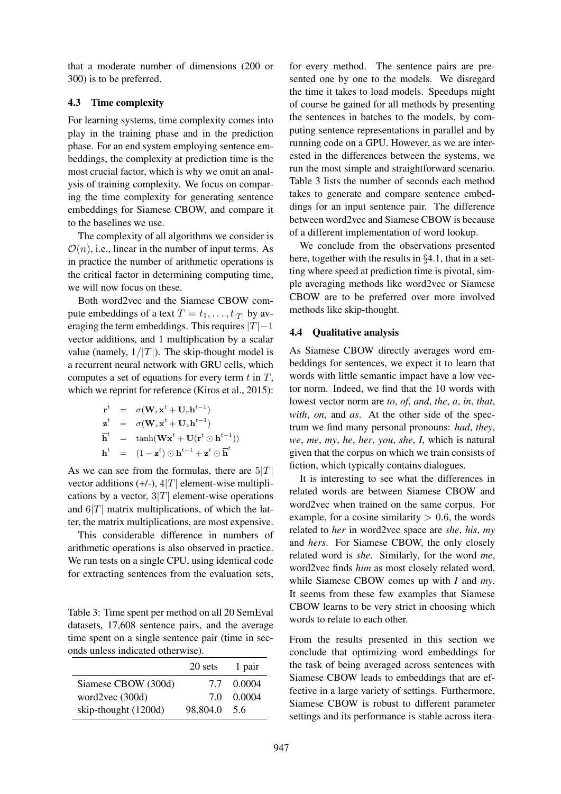that a moderate number of dimensions (200 or 300) is to be preferred.

#### 4.3 Time complexity

For learning systems, time complexity comes into play in the training phase and in the prediction phase. For an end system employing sentence embeddings, the complexity at prediction time is the most crucial factor, which is why we omit an analysis of training complexity. We focus on comparing the time complexity for generating sentence embeddings for Siamese CBOW, and compare it to the baselines we use.

The complexity of all algorithms we consider is  $\mathcal{O}(n)$ , i.e., linear in the number of input terms. As in practice the number of arithmetic operations is the critical factor in determining computing time, we will now focus on these.

Both word2vec and the Siamese CBOW compute embeddings of a text  $T = t_1, \ldots, t_{|T|}$  by averaging the term embeddings. This requires  $|T|-1$ vector additions, and 1 multiplication by a scalar value (namely,  $1/|T|$ ). The skip-thought model is a recurrent neural network with GRU cells, which computes a set of equations for every term  $t$  in  $T$ , which we reprint for reference (Kiros et al., 2015):

$$
\begin{array}{rcl}\n\mathbf{r}^t & = & \sigma(\mathbf{W}_r \mathbf{x}^t + \mathbf{U}_r \mathbf{h}^{t-1}) \\
\mathbf{z}^t & = & \sigma(\mathbf{W}_z \mathbf{x}^t + \mathbf{U}_z \mathbf{h}^{t-1}) \\
\overline{\mathbf{h}}^t & = & \tanh(\mathbf{W} \mathbf{x}^t + \mathbf{U} (\mathbf{r}^t \odot \mathbf{h}^{t-1})) \\
\mathbf{h}^t & = & (1 - \mathbf{z}^t) \odot \mathbf{h}^{t-1} + \mathbf{z}^t \odot \overline{\mathbf{h}}^t\n\end{array}
$$

As we can see from the formulas, there are  $5|T|$ vector additions  $(+/-)$ ,  $4|T|$  element-wise multiplications by a vector,  $3|T|$  element-wise operations and  $6|T|$  matrix multiplications, of which the latter, the matrix multiplications, are most expensive.

This considerable difference in numbers of arithmetic operations is also observed in practice. We run tests on a single CPU, using identical code for extracting sentences from the evaluation sets,

Table 3: Time spent per method on all 20 SemEval datasets, 17,608 sentence pairs, and the average time spent on a single sentence pair (time in seconds unless indicated otherwise).

|                       | 20 sets  | 1 pair |
|-----------------------|----------|--------|
| Siamese CBOW (300d)   | 77       | 0.0004 |
| word $2$ vec $(300d)$ | 70       | 0.0004 |
| skip-thought (1200d)  | 98,804.0 | 5.6    |

for every method. The sentence pairs are presented one by one to the models. We disregard the time it takes to load models. Speedups might of course be gained for all methods by presenting the sentences in batches to the models, by computing sentence representations in parallel and by running code on a GPU. However, as we are interested in the differences between the systems, we run the most simple and straightforward scenario. Table 3 lists the number of seconds each method takes to generate and compare sentence embeddings for an input sentence pair. The difference between word2vec and Siamese CBOW is because of a different implementation of word lookup.

We conclude from the observations presented here, together with the results in §4.1, that in a setting where speed at prediction time is pivotal, simple averaging methods like word2vec or Siamese CBOW are to be preferred over more involved methods like skip-thought.

### 4.4 Qualitative analysis

As Siamese CBOW directly averages word embeddings for sentences, we expect it to learn that words with little semantic impact have a low vector norm. Indeed, we find that the 10 words with lowest vector norm are *to*, *of*, *and*, *the*, *a*, *in*, *that*, *with*, *on*, and *as*. At the other side of the spectrum we find many personal pronouns: *had*, *they*, *we*, *me*, *my*, *he*, *her*, *you*, *she*, *I*, which is natural given that the corpus on which we train consists of fiction, which typically contains dialogues.

It is interesting to see what the differences in related words are between Siamese CBOW and word2vec when trained on the same corpus. For example, for a cosine similarity  $> 0.6$ , the words related to *her* in word2vec space are *she*, *his*, *my* and *hers*. For Siamese CBOW, the only closely related word is *she*. Similarly, for the word *me*, word2vec finds *him* as most closely related word, while Siamese CBOW comes up with *I* and *my*. It seems from these few examples that Siamese CBOW learns to be very strict in choosing which words to relate to each other.

From the results presented in this section we conclude that optimizing word embeddings for the task of being averaged across sentences with Siamese CBOW leads to embeddings that are effective in a large variety of settings. Furthermore, Siamese CBOW is robust to different parameter settings and its performance is stable across itera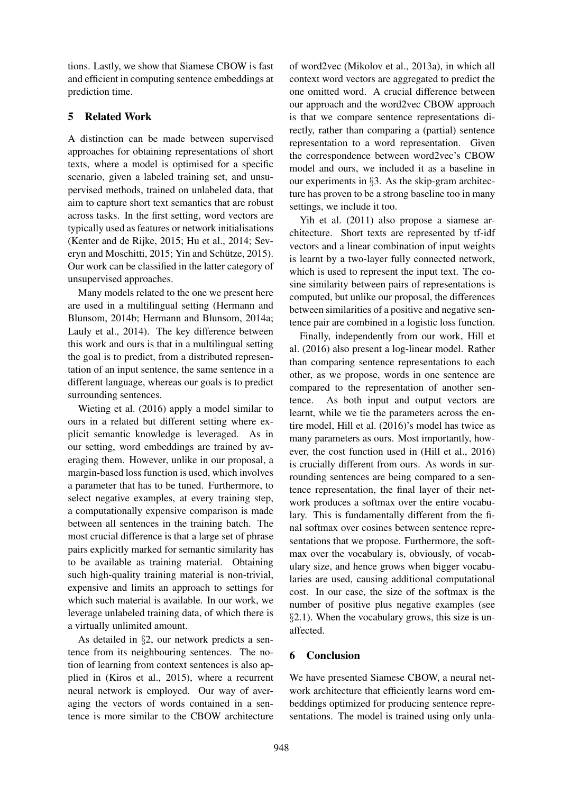tions. Lastly, we show that Siamese CBOW is fast and efficient in computing sentence embeddings at prediction time.

## 5 Related Work

A distinction can be made between supervised approaches for obtaining representations of short texts, where a model is optimised for a specific scenario, given a labeled training set, and unsupervised methods, trained on unlabeled data, that aim to capture short text semantics that are robust across tasks. In the first setting, word vectors are typically used as features or network initialisations (Kenter and de Rijke, 2015; Hu et al., 2014; Severyn and Moschitti, 2015; Yin and Schütze, 2015). Our work can be classified in the latter category of unsupervised approaches.

Many models related to the one we present here are used in a multilingual setting (Hermann and Blunsom, 2014b; Hermann and Blunsom, 2014a; Lauly et al., 2014). The key difference between this work and ours is that in a multilingual setting the goal is to predict, from a distributed representation of an input sentence, the same sentence in a different language, whereas our goals is to predict surrounding sentences.

Wieting et al. (2016) apply a model similar to ours in a related but different setting where explicit semantic knowledge is leveraged. As in our setting, word embeddings are trained by averaging them. However, unlike in our proposal, a margin-based loss function is used, which involves a parameter that has to be tuned. Furthermore, to select negative examples, at every training step, a computationally expensive comparison is made between all sentences in the training batch. The most crucial difference is that a large set of phrase pairs explicitly marked for semantic similarity has to be available as training material. Obtaining such high-quality training material is non-trivial, expensive and limits an approach to settings for which such material is available. In our work, we leverage unlabeled training data, of which there is a virtually unlimited amount.

As detailed in §2, our network predicts a sentence from its neighbouring sentences. The notion of learning from context sentences is also applied in (Kiros et al., 2015), where a recurrent neural network is employed. Our way of averaging the vectors of words contained in a sentence is more similar to the CBOW architecture

of word2vec (Mikolov et al., 2013a), in which all context word vectors are aggregated to predict the one omitted word. A crucial difference between our approach and the word2vec CBOW approach is that we compare sentence representations directly, rather than comparing a (partial) sentence representation to a word representation. Given the correspondence between word2vec's CBOW model and ours, we included it as a baseline in our experiments in §3. As the skip-gram architecture has proven to be a strong baseline too in many settings, we include it too.

Yih et al. (2011) also propose a siamese architecture. Short texts are represented by tf-idf vectors and a linear combination of input weights is learnt by a two-layer fully connected network, which is used to represent the input text. The cosine similarity between pairs of representations is computed, but unlike our proposal, the differences between similarities of a positive and negative sentence pair are combined in a logistic loss function.

Finally, independently from our work, Hill et al. (2016) also present a log-linear model. Rather than comparing sentence representations to each other, as we propose, words in one sentence are compared to the representation of another sentence. As both input and output vectors are learnt, while we tie the parameters across the entire model, Hill et al. (2016)'s model has twice as many parameters as ours. Most importantly, however, the cost function used in (Hill et al., 2016) is crucially different from ours. As words in surrounding sentences are being compared to a sentence representation, the final layer of their network produces a softmax over the entire vocabulary. This is fundamentally different from the final softmax over cosines between sentence representations that we propose. Furthermore, the softmax over the vocabulary is, obviously, of vocabulary size, and hence grows when bigger vocabularies are used, causing additional computational cost. In our case, the size of the softmax is the number of positive plus negative examples (see §2.1). When the vocabulary grows, this size is unaffected.

## 6 Conclusion

We have presented Siamese CBOW, a neural network architecture that efficiently learns word embeddings optimized for producing sentence representations. The model is trained using only unla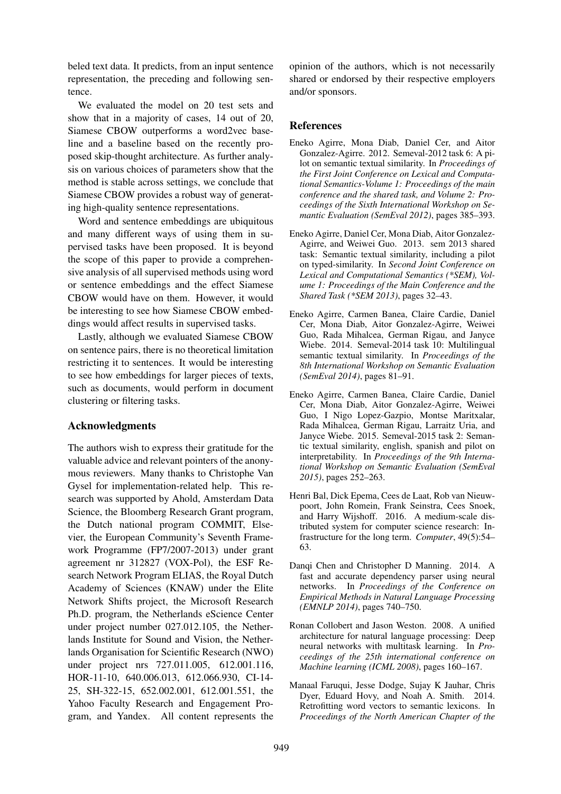beled text data. It predicts, from an input sentence representation, the preceding and following sentence.

We evaluated the model on 20 test sets and show that in a majority of cases, 14 out of 20, Siamese CBOW outperforms a word2vec baseline and a baseline based on the recently proposed skip-thought architecture. As further analysis on various choices of parameters show that the method is stable across settings, we conclude that Siamese CBOW provides a robust way of generating high-quality sentence representations.

Word and sentence embeddings are ubiquitous and many different ways of using them in supervised tasks have been proposed. It is beyond the scope of this paper to provide a comprehensive analysis of all supervised methods using word or sentence embeddings and the effect Siamese CBOW would have on them. However, it would be interesting to see how Siamese CBOW embeddings would affect results in supervised tasks.

Lastly, although we evaluated Siamese CBOW on sentence pairs, there is no theoretical limitation restricting it to sentences. It would be interesting to see how embeddings for larger pieces of texts, such as documents, would perform in document clustering or filtering tasks.

## Acknowledgments

The authors wish to express their gratitude for the valuable advice and relevant pointers of the anonymous reviewers. Many thanks to Christophe Van Gysel for implementation-related help. This research was supported by Ahold, Amsterdam Data Science, the Bloomberg Research Grant program, the Dutch national program COMMIT, Elsevier, the European Community's Seventh Framework Programme (FP7/2007-2013) under grant agreement nr 312827 (VOX-Pol), the ESF Research Network Program ELIAS, the Royal Dutch Academy of Sciences (KNAW) under the Elite Network Shifts project, the Microsoft Research Ph.D. program, the Netherlands eScience Center under project number 027.012.105, the Netherlands Institute for Sound and Vision, the Netherlands Organisation for Scientific Research (NWO) under project nrs 727.011.005, 612.001.116, HOR-11-10, 640.006.013, 612.066.930, CI-14- 25, SH-322-15, 652.002.001, 612.001.551, the Yahoo Faculty Research and Engagement Program, and Yandex. All content represents the opinion of the authors, which is not necessarily shared or endorsed by their respective employers and/or sponsors.

## References

- Eneko Agirre, Mona Diab, Daniel Cer, and Aitor Gonzalez-Agirre. 2012. Semeval-2012 task 6: A pilot on semantic textual similarity. In *Proceedings of the First Joint Conference on Lexical and Computational Semantics-Volume 1: Proceedings of the main conference and the shared task, and Volume 2: Proceedings of the Sixth International Workshop on Semantic Evaluation (SemEval 2012)*, pages 385–393.
- Eneko Agirre, Daniel Cer, Mona Diab, Aitor Gonzalez-Agirre, and Weiwei Guo. 2013. sem 2013 shared task: Semantic textual similarity, including a pilot on typed-similarity. In *Second Joint Conference on Lexical and Computational Semantics (\*SEM), Volume 1: Proceedings of the Main Conference and the Shared Task (\*SEM 2013)*, pages 32–43.
- Eneko Agirre, Carmen Banea, Claire Cardie, Daniel Cer, Mona Diab, Aitor Gonzalez-Agirre, Weiwei Guo, Rada Mihalcea, German Rigau, and Janyce Wiebe. 2014. Semeval-2014 task 10: Multilingual semantic textual similarity. In *Proceedings of the 8th International Workshop on Semantic Evaluation (SemEval 2014)*, pages 81–91.
- Eneko Agirre, Carmen Banea, Claire Cardie, Daniel Cer, Mona Diab, Aitor Gonzalez-Agirre, Weiwei Guo, I Nigo Lopez-Gazpio, Montse Maritxalar, Rada Mihalcea, German Rigau, Larraitz Uria, and Janyce Wiebe. 2015. Semeval-2015 task 2: Semantic textual similarity, english, spanish and pilot on interpretability. In *Proceedings of the 9th International Workshop on Semantic Evaluation (SemEval 2015)*, pages 252–263.
- Henri Bal, Dick Epema, Cees de Laat, Rob van Nieuwpoort, John Romein, Frank Seinstra, Cees Snoek, and Harry Wijshoff. 2016. A medium-scale distributed system for computer science research: Infrastructure for the long term. *Computer*, 49(5):54– 63.
- Danqi Chen and Christopher D Manning. 2014. A fast and accurate dependency parser using neural networks. In *Proceedings of the Conference on Empirical Methods in Natural Language Processing (EMNLP 2014)*, pages 740–750.
- Ronan Collobert and Jason Weston. 2008. A unified architecture for natural language processing: Deep neural networks with multitask learning. In *Proceedings of the 25th international conference on Machine learning (ICML 2008)*, pages 160–167.
- Manaal Faruqui, Jesse Dodge, Sujay K Jauhar, Chris Dyer, Eduard Hovy, and Noah A. Smith. 2014. Retrofitting word vectors to semantic lexicons. In *Proceedings of the North American Chapter of the*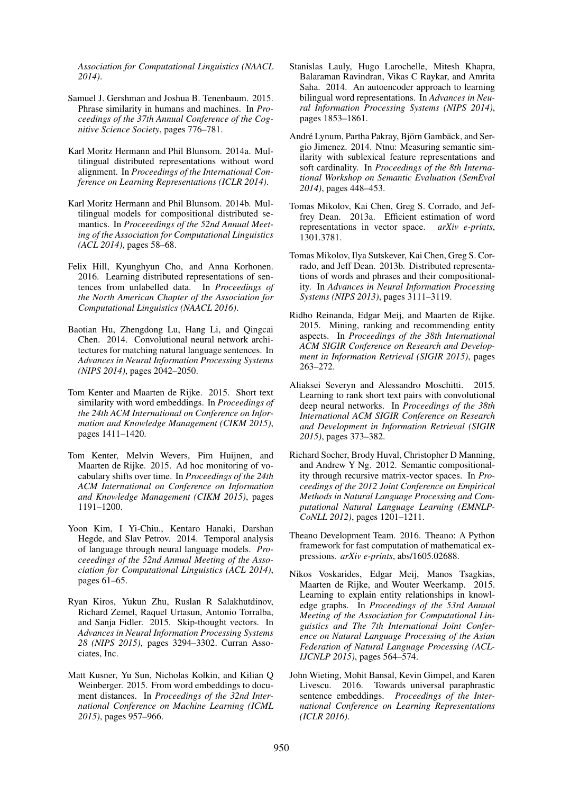*Association for Computational Linguistics (NAACL 2014)*.

- Samuel J. Gershman and Joshua B. Tenenbaum. 2015. Phrase similarity in humans and machines. In *Proceedings of the 37th Annual Conference of the Cognitive Science Society*, pages 776–781.
- Karl Moritz Hermann and Phil Blunsom. 2014a. Multilingual distributed representations without word alignment. In *Proceedings of the International Conference on Learning Representations (ICLR 2014)*.
- Karl Moritz Hermann and Phil Blunsom. 2014b. Multilingual models for compositional distributed semantics. In *Proceeedings of the 52nd Annual Meeting of the Association for Computational Linguistics (ACL 2014)*, pages 58–68.
- Felix Hill, Kyunghyun Cho, and Anna Korhonen. 2016. Learning distributed representations of sentences from unlabelled data. In *Proceedings of the North American Chapter of the Association for Computational Linguistics (NAACL 2016)*.
- Baotian Hu, Zhengdong Lu, Hang Li, and Qingcai Chen. 2014. Convolutional neural network architectures for matching natural language sentences. In *Advances in Neural Information Processing Systems (NIPS 2014)*, pages 2042–2050.
- Tom Kenter and Maarten de Rijke. 2015. Short text similarity with word embeddings. In *Proceedings of the 24th ACM International on Conference on Information and Knowledge Management (CIKM 2015)*, pages 1411–1420.
- Tom Kenter, Melvin Wevers, Pim Huijnen, and Maarten de Rijke. 2015. Ad hoc monitoring of vocabulary shifts over time. In *Proceedings of the 24th ACM International on Conference on Information and Knowledge Management (CIKM 2015)*, pages 1191–1200.
- Yoon Kim, I Yi-Chiu., Kentaro Hanaki, Darshan Hegde, and Slav Petrov. 2014. Temporal analysis of language through neural language models. *Proceeedings of the 52nd Annual Meeting of the Association for Computational Linguistics (ACL 2014)*, pages 61–65.
- Ryan Kiros, Yukun Zhu, Ruslan R Salakhutdinov, Richard Zemel, Raquel Urtasun, Antonio Torralba, and Sanja Fidler. 2015. Skip-thought vectors. In *Advances in Neural Information Processing Systems 28 (NIPS 2015)*, pages 3294–3302. Curran Associates, Inc.
- Matt Kusner, Yu Sun, Nicholas Kolkin, and Kilian Q Weinberger. 2015. From word embeddings to document distances. In *Proceedings of the 32nd International Conference on Machine Learning (ICML 2015)*, pages 957–966.
- Stanislas Lauly, Hugo Larochelle, Mitesh Khapra, Balaraman Ravindran, Vikas C Raykar, and Amrita Saha. 2014. An autoencoder approach to learning bilingual word representations. In *Advances in Neural Information Processing Systems (NIPS 2014)*, pages 1853–1861.
- André Lynum, Partha Pakray, Björn Gambäck, and Sergio Jimenez. 2014. Ntnu: Measuring semantic similarity with sublexical feature representations and soft cardinality. In *Proceedings of the 8th International Workshop on Semantic Evaluation (SemEval 2014)*, pages 448–453.
- Tomas Mikolov, Kai Chen, Greg S. Corrado, and Jeffrey Dean. 2013a. Efficient estimation of word representations in vector space. *arXiv e-prints*, 1301.3781.
- Tomas Mikolov, Ilya Sutskever, Kai Chen, Greg S. Corrado, and Jeff Dean. 2013b. Distributed representations of words and phrases and their compositionality. In *Advances in Neural Information Processing Systems (NIPS 2013)*, pages 3111–3119.
- Ridho Reinanda, Edgar Meij, and Maarten de Rijke. 2015. Mining, ranking and recommending entity aspects. In *Proceedings of the 38th International ACM SIGIR Conference on Research and Development in Information Retrieval (SIGIR 2015)*, pages 263–272.
- Aliaksei Severyn and Alessandro Moschitti. 2015. Learning to rank short text pairs with convolutional deep neural networks. In *Proceedings of the 38th International ACM SIGIR Conference on Research and Development in Information Retrieval (SIGIR 2015)*, pages 373–382.
- Richard Socher, Brody Huval, Christopher D Manning, and Andrew Y Ng. 2012. Semantic compositionality through recursive matrix-vector spaces. In *Proceedings of the 2012 Joint Conference on Empirical Methods in Natural Language Processing and Computational Natural Language Learning (EMNLP-CoNLL 2012)*, pages 1201–1211.
- Theano Development Team. 2016. Theano: A Python framework for fast computation of mathematical expressions. *arXiv e-prints*, abs/1605.02688.
- Nikos Voskarides, Edgar Meij, Manos Tsagkias, Maarten de Rijke, and Wouter Weerkamp. 2015. Learning to explain entity relationships in knowledge graphs. In *Proceedings of the 53rd Annual Meeting of the Association for Computational Linguistics and The 7th International Joint Conference on Natural Language Processing of the Asian Federation of Natural Language Processing (ACL-IJCNLP 2015)*, pages 564–574.
- John Wieting, Mohit Bansal, Kevin Gimpel, and Karen Livescu. 2016. Towards universal paraphrastic sentence embeddings. *Proceedings of the International Conference on Learning Representations (ICLR 2016)*.